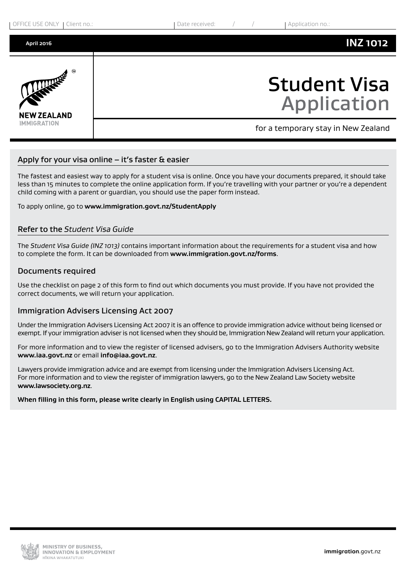| OFFICE USE ONLY   Client no.: |  |
|-------------------------------|--|
|-------------------------------|--|

Date received:  $\frac{1}{2}$  /  $\frac{1}{2}$  Application no.



### **INZ 1012**



# Student Visa Application

for a temporary stay in New Zealand

### Apply for your visa online  $-$  it's faster & easier

The fastest and easiest way to apply for a student visa is online. Once you have your documents prepared, it should take less than 15 minutes to complete the online application form. If you're travelling with your partner or you're a dependent child coming with a parent or guardian, you should use the paper form instead.

To apply online, go to **www.immigration.govt.nz/StudentApply**

#### Refer to the *Student Visa Guide*

The *Student Visa Guide (INZ 1013)* contains important information about the requirements for a student visa and how to complete the form. It can be downloaded from **<www.immigration.govt.nz/forms>**.

#### Documents required

Use the checklist on page 2 of this form to find out which documents you must provide. If you have not provided the correct documents, we will return your application.

#### Immigration Advisers Licensing Act 2007

Under the Immigration Advisers Licensing Act 2007 it is an offence to provide immigration advice without being licensed or exempt. If your immigration adviser is not licensed when they should be, Immigration New Zealand will return your application.

For more information and to view the register of licensed advisers, go to the Immigration Advisers Authority website **<www.iaa.govt.nz>** or email **[info@iaa.govt.nz](mailto:info@iaa.govt.nz)**.

Lawyers provide immigration advice and are exempt from licensing under the Immigration Advisers Licensing Act. For more information and to view the register of immigration lawyers, go to the New Zealand Law Society website **<www.lawsociety.org.nz>**.

#### **When filling in this form, please write clearly in English using CAPITAL LETTERS.**

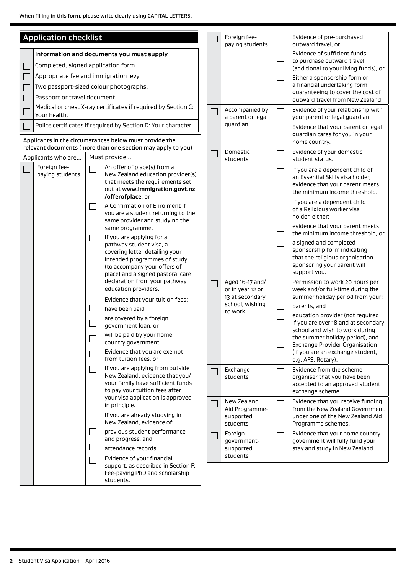| <b>Application checklist</b> |                                                    |                                    | Foreign fee-                                                                                                                                                                    |                                                  | Evidence of pre-purchased                                           |                                                                                                                                         |
|------------------------------|----------------------------------------------------|------------------------------------|---------------------------------------------------------------------------------------------------------------------------------------------------------------------------------|--------------------------------------------------|---------------------------------------------------------------------|-----------------------------------------------------------------------------------------------------------------------------------------|
|                              | Information and documents you must supply          |                                    | paying students                                                                                                                                                                 |                                                  | outward travel, or<br>Evidence of sufficient funds                  |                                                                                                                                         |
|                              | Completed, signed application form.                |                                    |                                                                                                                                                                                 |                                                  | to purchase outward travel<br>(additional to your living funds), or |                                                                                                                                         |
|                              | Appropriate fee and immigration levy.              |                                    |                                                                                                                                                                                 |                                                  |                                                                     | Either a sponsorship form or                                                                                                            |
|                              | Two passport-sized colour photographs.             |                                    |                                                                                                                                                                                 |                                                  |                                                                     | a financial undertaking form<br>guaranteeing to cover the cost of                                                                       |
|                              | Passport or travel document.                       |                                    |                                                                                                                                                                                 |                                                  |                                                                     | outward travel from New Zealand.                                                                                                        |
|                              | Your health.                                       |                                    | Medical or chest X-ray certificates if required by Section C:                                                                                                                   | Accompanied by<br>a parent or legal              |                                                                     | Evidence of your relationship with<br>your parent or legal guardian.                                                                    |
|                              |                                                    |                                    | Police certificates if required by Section D: Your character.                                                                                                                   | guardian                                         | $\mathcal{L}_{\mathcal{A}}$                                         | Evidence that your parent or legal                                                                                                      |
|                              |                                                    |                                    | Applicants in the circumstances below must provide the<br>relevant documents (more than one section may apply to you)                                                           |                                                  |                                                                     | guardian cares for you in your<br>home country.                                                                                         |
|                              | Applicants who are                                 |                                    | Must provide                                                                                                                                                                    | Domestic<br>students                             | a l                                                                 | Evidence of your domestic<br>student status.                                                                                            |
|                              | Foreign fee-<br>paying students                    |                                    | An offer of place(s) from a<br>New Zealand education provider(s)<br>that meets the requirements set<br>out at www.immigration.govt.nz<br>/offerofplace, or                      |                                                  | Ξ                                                                   | If you are a dependent child of<br>an Essential Skills visa holder,<br>evidence that your parent meets<br>the minimum income threshold. |
|                              |                                                    |                                    | A Confirmation of Enrolment if<br>you are a student returning to the<br>same provider and studying the                                                                          |                                                  |                                                                     | If you are a dependent child<br>of a Religious worker visa<br>holder, either:<br>evidence that your parent meets                        |
|                              |                                                    |                                    | same programme.<br>If you are applying for a                                                                                                                                    |                                                  | ×                                                                   | the minimum income threshold, or                                                                                                        |
|                              |                                                    |                                    | pathway student visa, a<br>covering letter detailing your<br>intended programmes of study<br>(to accompany your offers of<br>place) and a signed pastoral care                  |                                                  | $\mathcal{L}_{\mathcal{A}}$                                         | a signed and completed<br>sponsorship form indicating<br>that the religious organisation<br>sponsoring your parent will<br>support you. |
|                              |                                                    |                                    | declaration from your pathway<br>education providers.                                                                                                                           | Aged 16-17 and/<br>or in year 12 or              |                                                                     | Permission to work 20 hours per<br>week and/or full-time during the                                                                     |
|                              | Evidence that your tuition fees:<br>have been paid | 13 at secondary<br>school, wishing |                                                                                                                                                                                 | summer holiday period from your:<br>parents, and |                                                                     |                                                                                                                                         |
|                              |                                                    |                                    | are covered by a foreign                                                                                                                                                        | to work                                          | $\mathcal{L}$                                                       | education provider (not required                                                                                                        |
|                              |                                                    |                                    | government loan, or                                                                                                                                                             |                                                  |                                                                     | if you are over 18 and at secondary<br>school and wish to work during                                                                   |
|                              |                                                    |                                    | will be paid by your home<br>country government.                                                                                                                                |                                                  | ×                                                                   | the summer holiday period), and<br><b>Exchange Provider Organisation</b>                                                                |
|                              |                                                    |                                    | Evidence that you are exempt<br>from tuition fees, or                                                                                                                           |                                                  |                                                                     | (if you are an exchange student,<br>e.g. AFS, Rotary).                                                                                  |
|                              |                                                    |                                    | If you are applying from outside<br>New Zealand, evidence that you/<br>your family have sufficient funds<br>to pay your tuition fees after<br>your visa application is approved | Exchange<br>students                             | ri                                                                  | Evidence from the scheme<br>organiser that you have been<br>accepted to an approved student<br>exchange scheme.                         |
|                              |                                                    |                                    | in principle.                                                                                                                                                                   | New Zealand<br>Aid Programme-                    | $\sim$                                                              | Evidence that you receive funding<br>from the New Zealand Government                                                                    |
|                              |                                                    |                                    | If you are already studying in<br>New Zealand, evidence of:                                                                                                                     | supported<br>students                            |                                                                     | under one of the New Zealand Aid<br>Programme schemes.                                                                                  |
|                              |                                                    |                                    | previous student performance<br>and progress, and                                                                                                                               | Foreign<br>government-                           | $\Box$                                                              | Evidence that your home country<br>government will fully fund your                                                                      |
|                              |                                                    |                                    | attendance records.                                                                                                                                                             | supported                                        |                                                                     | stay and study in New Zealand.                                                                                                          |
|                              |                                                    |                                    | Evidence of your financial<br>support, as described in Section F:<br>Fee-paying PhD and scholarship<br>students.                                                                | students                                         |                                                                     |                                                                                                                                         |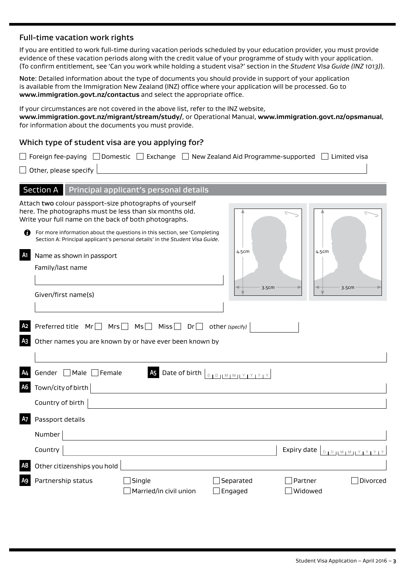### Full-time vacation work rights

If you are entitled to work full-time during vacation periods scheduled by your education provider, you must provide evidence of these vacation periods along with the credit value of your programme of study with your application. (To confirm entitlement, see 'Can you work while holding a student visa?' section in the *Student Visa Guide (INZ 1013)*).

Note: Detailed information about the type of documents you should provide in support of your application is available from the Immigration New Zealand (INZ) office where your application will be processed. Go to **<www.immigration.govt.nz/contactus>** and select the appropriate office.

If your circumstances are not covered in the above list, refer to the INZ website, **[www.immigration.govt.nz/migrant/stream/study/](www.immigration.govt.nz/migrant/stream/study)**, or Operational Manual, **<www.immigration.govt.nz/opsmanual>**, for information about the documents you must provide.

#### Which type of student visa are you applying for?

|                      | Foreign fee-paying $\Box$ Domestic $\Box$ Exchange $\Box$ New Zealand Aid Programme-supported $\Box$<br>$\Box$ Limited visa                                                                                                                                                                                                               |
|----------------------|-------------------------------------------------------------------------------------------------------------------------------------------------------------------------------------------------------------------------------------------------------------------------------------------------------------------------------------------|
|                      | Other, please specify                                                                                                                                                                                                                                                                                                                     |
|                      | Section A Principal applicant's personal details                                                                                                                                                                                                                                                                                          |
| n                    | Attach two colour passport-size photographs of yourself<br>here. The photographs must be less than six months old.<br>Write your full name on the back of both photographs.<br>For more information about the questions in this section, see 'Completing<br>Section A: Principal applicant's personal details' in the Student Visa Guide. |
| A1                   | 4.5cm<br>4.5cm<br>Name as shown in passport<br>Family/last name<br>3.5cm<br>3.5cm                                                                                                                                                                                                                                                         |
|                      | Given/first name(s)                                                                                                                                                                                                                                                                                                                       |
| A2<br>Αз             | Preferred title Mr□ Mrs□ Ms□ Miss□ Dr□<br>other (specify)<br>Other names you are known by or have ever been known by                                                                                                                                                                                                                      |
| A4<br>A <sub>6</sub> | <b>A5</b><br>Gender □ Male □ Female<br>Date of birth $\boxed{\begin{smallmatrix} 0 & 1 & 0 \end{smallmatrix}$ $\begin{bmatrix} M & 1 & 1 \end{bmatrix}$<br>Town/city of birth                                                                                                                                                             |
|                      | Country of birth                                                                                                                                                                                                                                                                                                                          |
| <b>A7</b>            | Passport details<br>Number                                                                                                                                                                                                                                                                                                                |
|                      | Country<br>Expiry date <b>DOWMMMMMMMMMM</b>                                                                                                                                                                                                                                                                                               |
| A8                   | Other citizenships you hold<br>Partnership status<br>Single<br>Separated<br>Partner<br>Divorced<br>Married/in civil union<br>$\mathsf{\,]}$ Engaged<br>Widowed                                                                                                                                                                            |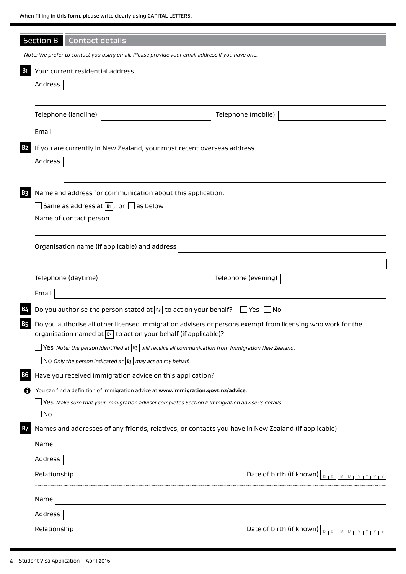|                       | Section B Contact details                                                                                                      |                                                                                                            |                                                    |  |  |
|-----------------------|--------------------------------------------------------------------------------------------------------------------------------|------------------------------------------------------------------------------------------------------------|----------------------------------------------------|--|--|
|                       | Note: We prefer to contact you using email. Please provide your email address if you have one.                                 |                                                                                                            |                                                    |  |  |
| <b>B</b> <sub>1</sub> | Your current residential address.                                                                                              |                                                                                                            |                                                    |  |  |
|                       | Address                                                                                                                        |                                                                                                            |                                                    |  |  |
|                       |                                                                                                                                |                                                                                                            |                                                    |  |  |
|                       | Telephone (landline)                                                                                                           | Telephone (mobile)                                                                                         |                                                    |  |  |
|                       | Email                                                                                                                          |                                                                                                            |                                                    |  |  |
| <b>B2</b>             | If you are currently in New Zealand, your most recent overseas address.                                                        |                                                                                                            |                                                    |  |  |
|                       | Address                                                                                                                        |                                                                                                            |                                                    |  |  |
|                       |                                                                                                                                |                                                                                                            |                                                    |  |  |
| <b>B3</b>             | Name and address for communication about this application.                                                                     |                                                                                                            |                                                    |  |  |
|                       | $\Box$ Same as address at $\boxed{\mathbb{B}}$ , or $\Box$ as below                                                            |                                                                                                            |                                                    |  |  |
|                       | Name of contact person                                                                                                         |                                                                                                            |                                                    |  |  |
|                       |                                                                                                                                |                                                                                                            |                                                    |  |  |
|                       | Organisation name (if applicable) and address                                                                                  |                                                                                                            |                                                    |  |  |
|                       |                                                                                                                                |                                                                                                            |                                                    |  |  |
|                       | Telephone (daytime)                                                                                                            | Telephone (evening)                                                                                        |                                                    |  |  |
|                       | Email                                                                                                                          |                                                                                                            |                                                    |  |  |
| <b>B4</b>             | Do you authorise the person stated at $\boxed{B}$ to act on your behalf? $\Box$ Yes $\Box$ No                                  |                                                                                                            |                                                    |  |  |
| <b>B5</b>             | organisation named at $ B_3 $ to act on your behalf (if applicable)?                                                           | Do you authorise all other licensed immigration advisers or persons exempt from licensing who work for the |                                                    |  |  |
|                       | <b>Yes</b> Note: the person identified at $ B_3 $ will receive all communication from Immigration New Zealand.                 |                                                                                                            |                                                    |  |  |
|                       | No Only the person indicated at $ B_3 $ may act on my behalf.                                                                  |                                                                                                            |                                                    |  |  |
| <b>B6</b>             | Have you received immigration advice on this application?                                                                      |                                                                                                            |                                                    |  |  |
| n                     | You can find a definition of immigration advice at www.immigration.govt.nz/advice.                                             |                                                                                                            |                                                    |  |  |
|                       | Yes Make sure that your immigration adviser completes Section I: Immigration adviser's details.                                |                                                                                                            |                                                    |  |  |
|                       | 」No                                                                                                                            |                                                                                                            |                                                    |  |  |
| <b>B7</b>             | Names and addresses of any friends, relatives, or contacts you have in New Zealand (if applicable)                             |                                                                                                            |                                                    |  |  |
|                       | Name                                                                                                                           |                                                                                                            |                                                    |  |  |
|                       | Address                                                                                                                        |                                                                                                            |                                                    |  |  |
|                       | Relationship                                                                                                                   |                                                                                                            | Date of birth (if known) $\vert_{\text{DIPINMIN}}$ |  |  |
|                       | Name<br><u> 1989 - Johann Stoff, deutscher Stoffen und der Stoffen und der Stoffen und der Stoffen und der Stoffen und der</u> |                                                                                                            |                                                    |  |  |
|                       | Address                                                                                                                        |                                                                                                            |                                                    |  |  |
|                       | Relationship                                                                                                                   |                                                                                                            | Date of birth (if known) $\boxed{\text{max}$       |  |  |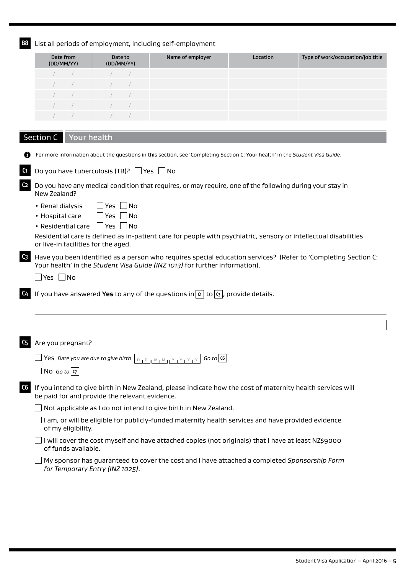**B8** List all periods of employment, including self-employment

| Date from<br>(DD/MM/YY) | Date to<br>(DD/MM/YY) | Name of employer | Location | Type of work/occupation/job title |
|-------------------------|-----------------------|------------------|----------|-----------------------------------|
|                         |                       |                  |          |                                   |
|                         |                       |                  |          |                                   |
|                         |                       |                  |          |                                   |
|                         |                       |                  |          |                                   |
|                         |                       |                  |          |                                   |
|                         |                       |                  |          |                                   |

|                | Your health<br><b>Section C</b>                                                                                                                                                               |
|----------------|-----------------------------------------------------------------------------------------------------------------------------------------------------------------------------------------------|
|                | For more information about the questions in this section, see 'Completing Section C: Your health' in the Student Visa Guide.                                                                  |
| C <sub>1</sub> | Do you have tuberculosis (TB)? $\Box$ Yes $\Box$ No                                                                                                                                           |
| C <sub>2</sub> | Do you have any medical condition that requires, or may require, one of the following during your stay in<br>New Zealand?                                                                     |
|                | $\Box$ Yes $\Box$ No<br>• Renal dialysis<br>$\Box$ Yes $\Box$ No<br>• Hospital care<br>• Residential care $\Box$ Yes $\Box$ No                                                                |
|                | Residential care is defined as in-patient care for people with psychiatric, sensory or intellectual disabilities<br>or live-in facilities for the aged.                                       |
| $C_3$          | Have you been identified as a person who requires special education services? (Refer to 'Completing Section C:<br>Your health' in the Student Visa Guide (INZ 1013) for further information). |
|                | $\Box$ Yes $\Box$ No                                                                                                                                                                          |
| C4             | If you have answered Yes to any of the questions in $\boxed{\alpha}$ to $\boxed{\alpha}$ , provide details.                                                                                   |
|                |                                                                                                                                                                                               |
|                |                                                                                                                                                                                               |
| C5             | Are you pregnant?                                                                                                                                                                             |
|                |                                                                                                                                                                                               |
|                | No Go to $ q $                                                                                                                                                                                |
| C6             | If you intend to give birth in New Zealand, please indicate how the cost of maternity health services will<br>be paid for and provide the relevant evidence.                                  |
|                | Not applicable as I do not intend to give birth in New Zealand.                                                                                                                               |
|                | I am, or will be eligible for publicly-funded maternity health services and have provided evidence<br>of my eligibility.                                                                      |
|                | I will cover the cost myself and have attached copies (not originals) that I have at least NZ\$9000<br>of funds available.                                                                    |

My sponsor has guaranteed to cover the cost and I have attached a completed *Sponsorship Form for Temporary Entry (INZ 1025)*.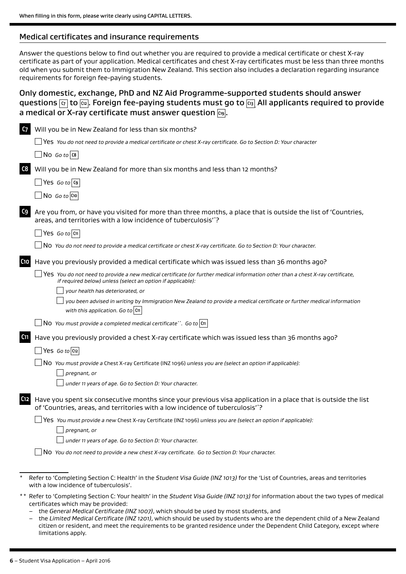#### Medical certificates and insurance requirements

Answer the questions below to find out whether you are required to provide a medical certificate or chest X-ray certificate as part of your application. Medical certificates and chest X-ray certificates must be less than three months old when you submit them to Immigration New Zealand. This section also includes a declaration regarding insurance requirements for foreign fee-paying students.

### Only domestic, exchange, PhD and NZ Aid Programme-supported students should answer questions **C7** to **C12** . Foreign fee-paying students must go to **C13 .** All applicants required to provide a medical or X-ray certificate must answer question  $\boxed{\alpha_9}$ .

| C <sub>7</sub> | Will you be in New Zealand for less than six months?                                                                                                                                            |
|----------------|-------------------------------------------------------------------------------------------------------------------------------------------------------------------------------------------------|
|                | Yes You do not need to provide a medical certificate or chest X-ray certificate. Go to Section D: Your character                                                                                |
|                | $\log$ 60 to $\cos$                                                                                                                                                                             |
| C8             | Will you be in New Zealand for more than six months and less than 12 months?                                                                                                                    |
|                | $\sqrt{Y}$ es <i>Go to</i> $\sqrt{G}$                                                                                                                                                           |
|                | No Go to $ C10 $                                                                                                                                                                                |
| C9             | Are you from, or have you visited for more than three months, a place that is outside the list of 'Countries,<br>areas, and territories with a low incidence of tuberculosis"?                  |
|                | $\Box$ Yes Go to $ $ C11 $ $                                                                                                                                                                    |
|                | No You do not need to provide a medical certificate or chest X-ray certificate. Go to Section D: Your character.                                                                                |
| C10            | Have you previously provided a medical certificate which was issued less than 36 months ago?                                                                                                    |
|                | Yes You do not need to provide a new medical certificate (or further medical information other than a chest X-ray certificate,<br>if required below) unless (select an option if applicable):   |
|                | your health has deteriorated, or                                                                                                                                                                |
|                | you been advised in writing by Immigration New Zealand to provide a medical certificate or further medical information<br>with this application. Go to $\vert$ C11                              |
|                | $\Box$ NO You must provide a completed medical certificate <sup>**</sup> . Go to $\vert$ Cn                                                                                                     |
| C11            | Have you previously provided a chest X-ray certificate which was issued less than 36 months ago?                                                                                                |
|                | $\Box$ Yes Goto C12                                                                                                                                                                             |
|                | No You must provide a Chest X-ray Certificate (INZ 1096) unless you are (select an option if applicable):<br>pregnant, or                                                                       |
|                | under 11 years of age. Go to Section D: Your character.                                                                                                                                         |
| C12            | Have you spent six consecutive months since your previous visa application in a place that is outside the list<br>of 'Countries, areas, and territories with a low incidence of tuberculosis''? |
|                | Yes You must provide a new Chest X-ray Certificate (INZ 1096) unless you are (select an option if applicable):<br>pregnant, or                                                                  |
|                | under 11 years of age. Go to Section D: Your character.                                                                                                                                         |
|                | No You do not need to provide a new chest X-ray certificate. Go to Section D: Your character.                                                                                                   |
|                | Refer to 'Completing Section C: Health' in the Student Visa Guide (INZ 1013) for the 'List of Countries, areas and territories<br>with a low incidence of tuberculosis'.                        |
|                | ** Refer to 'Completing Section C: Your health' in the Student Visa Guide (INZ 1013) for information about the two types of medical<br>certificates which may be provided:                      |

- the *General Medical Certificate (INZ 1007)*, which should be used by most students, and
- the *Limited Medical Certificate (INZ 1201)*, which should be used by students who are the dependent child of a New Zealand citizen or resident, and meet the requirements to be granted residence under the Dependent Child Category, except where limitations apply.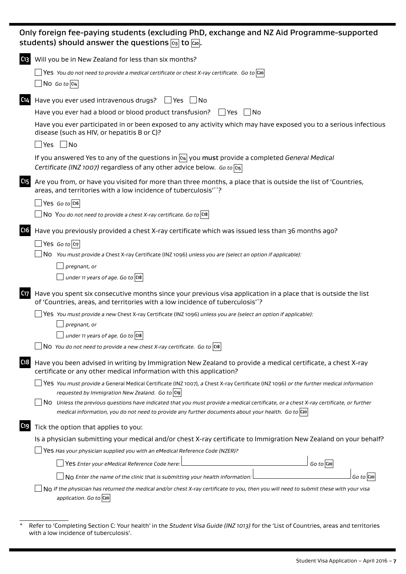|                 | Only foreign fee-paying students (excluding PhD, exchange and NZ Aid Programme-supported<br>students) should answer the questions $\boxed{c_3}$ to $\boxed{c_2}$ .                                                |
|-----------------|-------------------------------------------------------------------------------------------------------------------------------------------------------------------------------------------------------------------|
|                 | (13 Will you be in New Zealand for less than six months?                                                                                                                                                          |
|                 | $\Box$ Yes You do not need to provide a medical certificate or chest X-ray certificate. Go to $ {\rm co} $                                                                                                        |
|                 | $\Box$ No Go to C14                                                                                                                                                                                               |
| C <sub>14</sub> | Have you ever used intravenous drugs? $\Box$ Yes $\Box$ No                                                                                                                                                        |
|                 | Have you ever had a blood or blood product transfusion?<br>$\Box$ Yes<br>∣ ∣No                                                                                                                                    |
|                 | Have you ever participated in or been exposed to any activity which may have exposed you to a serious infectious<br>disease (such as HIV, or hepatitis B or C)?                                                   |
|                 | $\Box$ No<br>$\exists$ Yes                                                                                                                                                                                        |
|                 | If you answered Yes to any of the questions in $\alpha$ you must provide a completed General Medical<br>Certificate (INZ 1007) regardless of any other advice below. Go to C15                                    |
| C <sub>15</sub> | Are you from, or have you visited for more than three months, a place that is outside the list of 'Countries,<br>areas, and territories with a low incidence of tuberculosis"*?                                   |
|                 | $\Box$ Yes <i>Go to</i> $ $ C16                                                                                                                                                                                   |
|                 | $\Box$ N0 You do not need to provide a chest X-ray certificate. Go to C18                                                                                                                                         |
| C <sub>16</sub> | Have you previously provided a chest X-ray certificate which was issued less than 36 months ago?                                                                                                                  |
|                 | $\rfloor$ Yes Goto $\vert$ ແ $\tau\vert$                                                                                                                                                                          |
|                 | $\Box$ No You must provide a Chest X-ray Certificate (INZ 1096) unless you are (select an option if applicable):                                                                                                  |
|                 | pregnant, or                                                                                                                                                                                                      |
|                 | $\frac{1}{2}$ under 11 years of age. Go to $ $ C18                                                                                                                                                                |
|                 | (17) Have you spent six consecutive months since your previous visa application in a place that is outside the list<br>of 'Countries, areas, and territories with a low incidence of tuberculosis' <sup>*</sup> ? |
|                 | Yes You must provide a new Chest X-ray Certificate (INZ 1096) unless you are (select an option if applicable):                                                                                                    |
|                 | pregnant, or                                                                                                                                                                                                      |
|                 | $\Box$ under 11 years of age. Go to $\boxed{\text{C18}}$                                                                                                                                                          |
|                 | NO You do not need to provide a new chest X-ray certificate. Go to $ {\rm cs} $                                                                                                                                   |
| C <sub>18</sub> | Have you been advised in writing by Immigration New Zealand to provide a medical certificate, a chest X-ray<br>certificate or any other medical information with this application?                                |
|                 | Yes You must provide a General Medical Certificate (INZ 1007), a Chest X-ray Certificate (INZ 1096) or the further medical information                                                                            |
|                 | requested by Immigration New Zealand. Go to C19                                                                                                                                                                   |
|                 | No Unless the previous questions have indicated that you must provide a medical certificate, or a chest X-ray certificate, or further                                                                             |
|                 | medical information, you do not need to provide any further documents about your health. Go to $\cos$                                                                                                             |
| C <sub>19</sub> | Tick the option that applies to you:                                                                                                                                                                              |
|                 | Is a physician submitting your medical and/or chest X-ray certificate to Immigration New Zealand on your behalf?                                                                                                  |
|                 | Yes Has your physician supplied you with an eMedical Reference Code (NZER)?                                                                                                                                       |
|                 | Yes Enter your eMedical Reference Code here:<br>$Go$ to $C$ 20                                                                                                                                                    |
|                 | No Enter the name of the clinic that is submitting your health information:<br>$Go$ to $ Co$                                                                                                                      |
|                 | No If the physician has returned the medical and/or chest X-ray certificate to you, then you will need to submit these with your visa<br>application. Go to C20                                                   |
|                 |                                                                                                                                                                                                                   |

<sup>\*</sup> Refer to 'Completing Section C: Your health' in the *Student Visa Guide (INZ 1013)* for the 'List of Countries, areas and territories with a low incidence of tuberculosis'.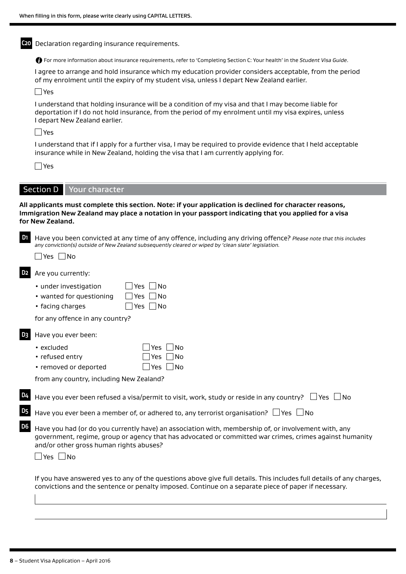**C20** Declaration regarding insurance requirements. For more information about insurance requirements, refer to 'Completing Section C: Your health' in the *Student Visa Guide*. I agree to arrange and hold insurance which my education provider considers acceptable, from the period of my enrolment until the expiry of my student visa, unless I depart New Zealand earlier. Yes I understand that holding insurance will be a condition of my visa and that I may become liable for deportation if I do not hold insurance, from the period of my enrolment until my visa expires, unless I depart New Zealand earlier. Yes I understand that if I apply for a further visa, I may be required to provide evidence that I held acceptable insurance while in New Zealand, holding the visa that I am currently applying for. Yes Section D | Your character **All applicants must complete this section. Note: if your application is declined for character reasons, Immigration New Zealand may place a notation in your passport indicating that you applied for a visa for New Zealand. D1** Have you been convicted at any time of any offence, including any driving offence? *Please note that this includes any conviction(s) outside of New Zealand subsequently cleared or wiped by 'clean slate' legislation.*  $\Box$ Yes  $\Box$ No **D2** Are you currently: • under investigation  $\Box$  Yes  $\Box$  No • wanted for questioning  $\Box$  Yes  $\Box$  No • facing charges  $\Box$  Yes  $\Box$  No for any offence in any country? **D3** Have you ever been: • excluded  $\Box$  Yes  $\Box$  No • refused entry  $\Box$  Yes  $\Box$  No • removed or deported  $\Box$  Yes  $\Box$  No from any country, including New Zealand? Have you ever been refused a visa/permit to visit, work, study or reside in any country?  $\Box$  Yes  $\Box$  No Have you ever been a member of, or adhered to, any terrorist organisation?  $\Box$  Yes  $\Box$  No **D6** Have you had (or do you currently have) an association with, membership of, or involvement with, any government, regime, group or agency that has advocated or committed war crimes, crimes against humanity and/or other gross human rights abuses?  $\Box$  Yes  $\Box$  No If you have answered yes to any of the questions above give full details. This includes full details of any charges, convictions and the sentence or penalty imposed. Continue on a separate piece of paper if necessary.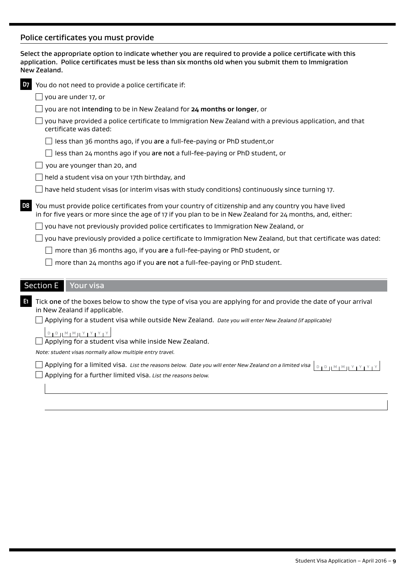### Police certificates you must provide

|                | application. Police certificates must be less than six months old when you submit them to Immigration<br>New Zealand.                                                                                              |
|----------------|--------------------------------------------------------------------------------------------------------------------------------------------------------------------------------------------------------------------|
| <b>D7</b>      | You do not need to provide a police certificate if:                                                                                                                                                                |
|                | you are under 17, or                                                                                                                                                                                               |
|                | you are not intending to be in New Zealand for 24 months or longer, or                                                                                                                                             |
|                | you have provided a police certificate to Immigration New Zealand with a previous application, and that<br>certificate was dated:                                                                                  |
|                | less than 36 months ago, if you are a full-fee-paying or PhD student, or                                                                                                                                           |
|                | less than 24 months ago if you are not a full-fee-paying or PhD student, or                                                                                                                                        |
|                | you are younger than 20, and                                                                                                                                                                                       |
|                | held a student visa on your 17th birthday, and                                                                                                                                                                     |
|                | have held student visas (or interim visas with study conditions) continuously since turning 17.                                                                                                                    |
| D <sub>8</sub> | You must provide police certificates from your country of citizenship and any country you have lived<br>in for five years or more since the age of 17 if you plan to be in New Zealand for 24 months, and, either: |
|                | you have not previously provided police certificates to Immigration New Zealand, or                                                                                                                                |
|                | you have previously provided a police certificate to Immigration New Zealand, but that certificate was dated:                                                                                                      |
|                | more than 36 months ago, if you are a full-fee-paying or PhD student, or                                                                                                                                           |
|                | more than 24 months ago if you are not a full-fee-paying or PhD student.                                                                                                                                           |
|                | <b>Section E</b><br><b>Your visa</b>                                                                                                                                                                               |
|                |                                                                                                                                                                                                                    |
| 61             | Tick one of the boxes below to show the type of visa you are applying for and provide the date of your arrival<br>in New Zealand if applicable.                                                                    |
|                | Applying for a student visa while outside New Zealand. Date you will enter New Zealand (if applicable)                                                                                                             |
|                | $D + D + M + M + Y + Y + Y + Y$                                                                                                                                                                                    |
|                | Applying for a student visa while inside New Zealand.                                                                                                                                                              |
|                | Note: student visas normally allow multiple entry travel.                                                                                                                                                          |
|                | Applying for a limited visa. List the reasons below. Date you will enter New Zealand on a limited visa<br>$D + D + M + M + M + Y + Y + Y$<br>Applying for a further limited visa. List the reasons below.          |
|                |                                                                                                                                                                                                                    |

Select the appropriate option to indicate whether you are required to provide a police certificate with this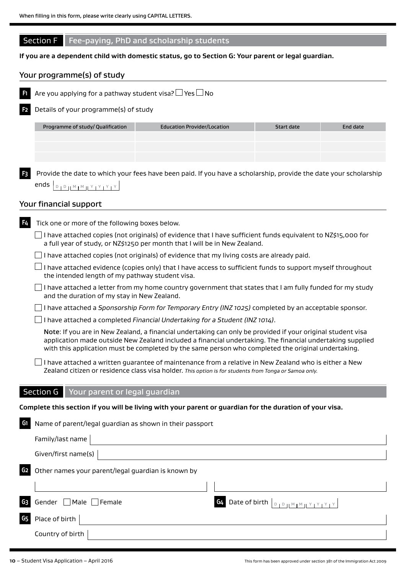### Section F Fee-paying, PhD and scholarship students

### **If you are a dependent child with domestic status, go to Section G: Your parent or legal guardian.**

### Your programme(s) of study



**F2** Details of your programme(s) of study

| Programme of study/ Qualification | <b>Education Provider/Location</b> | Start date | End date |
|-----------------------------------|------------------------------------|------------|----------|
|                                   |                                    |            |          |
|                                   |                                    |            |          |
|                                   |                                    |            |          |

**F3** Provide the date to which your fees have been paid. If you have a scholarship, provide the date your scholarship ends  $D_1 D_1 M_1 M_2 M_1 Y_1 Y_1 Y_2 Y_2$ 

#### Your financial support

**F4** Tick one or more of the following boxes below.  $\Box$  I have attached copies (not originals) of evidence that I have sufficient funds equivalent to NZ\$15,000 for a full year of study, or NZ\$1250 per month that I will be in New Zealand.

 $\Box$  I have attached copies (not originals) of evidence that my living costs are already paid.

 $\Box$  I have attached evidence (copies only) that I have access to sufficient funds to support myself throughout the intended length of my pathway student visa.

 $\Box$  I have attached a letter from my home country government that states that I am fully funded for my study and the duration of my stay in New Zealand.

I have attached a *Sponsorship Form for Temporary Entry (INZ 1025)* completed by an acceptable sponsor.

I have attached a completed *Financial Undertaking for a Student (INZ 1014)*.

Note: If you are in New Zealand, a financial undertaking can only be provided if your original student visa application made outside New Zealand included a financial undertaking. The financial undertaking supplied with this application must be completed by the same person who completed the original undertaking.

 $\Box$  I have attached a written guarantee of maintenance from a relative in New Zealand who is either a New Zealand citizen or residence class visa holder. *This option is for students from Tonga or Samoa only.*

### Section G Your parent or legal guardian

**Complete this section if you will be living with your parent or guardian for the duration of your visa.**

| G1             | Name of parent/legal guardian as shown in their passport                    |
|----------------|-----------------------------------------------------------------------------|
|                | Family/last name                                                            |
|                | Given/first name(s) $ $                                                     |
| G <sub>2</sub> | Other names your parent/legal guardian is known by                          |
|                |                                                                             |
|                | G3 Gender Male Female<br><b>G4</b> Date of birth $\vert_{\text{DIPINMINN}}$ |
| G <sub>5</sub> | Place of birth                                                              |
|                | Country of birth                                                            |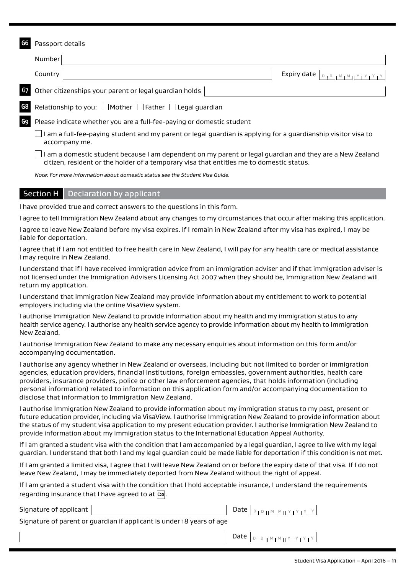## **G6** Passport details Number **Country**  $\vert$  Expiry date  $\vert_{\text{D}_1 \text{D}_1 \text{M}_1 \text{M}_1 \text{Y}_1 \text{Y}_1 \text{Y}_1}$ **G7** Other citizenships your parent or legal guardian holds Relationship to you: Mother **Father Legal quardian G9** Please indicate whether you are a full-fee-paying or domestic student  $\Box$  I am a full-fee-paying student and my parent or legal guardian is applying for a guardianship visitor visa to accompany me.  $\Box$  I am a domestic student because I am dependent on my parent or legal guardian and they are a New Zealand citizen, resident or the holder of a temporary visa that entitles me to domestic status.

*Note: For more information about domestic status see the Student Visa Guide.*

#### Section H | Declaration by applicant

I have provided true and correct answers to the questions in this form.

I agree to tell Immigration New Zealand about any changes to my circumstances that occur after making this application.

I agree to leave New Zealand before my visa expires. If I remain in New Zealand after my visa has expired, I may be liable for deportation.

I agree that if I am not entitled to free health care in New Zealand, I will pay for any health care or medical assistance I may require in New Zealand.

I understand that if I have received immigration advice from an immigration adviser and if that immigration adviser is not licensed under the Immigration Advisers Licensing Act 2007 when they should be, Immigration New Zealand will return my application.

I understand that Immigration New Zealand may provide information about my entitlement to work to potential employers including via the online VisaView system.

I authorise Immigration New Zealand to provide information about my health and my immigration status to any health service agency. I authorise any health service agency to provide information about my health to Immigration New Zealand.

I authorise Immigration New Zealand to make any necessary enquiries about information on this form and/or accompanying documentation.

I authorise any agency whether in New Zealand or overseas, including but not limited to border or immigration agencies, education providers, financial institutions, foreign embassies, government authorities, health care providers, insurance providers, police or other law enforcement agencies, that holds information (including personal information) related to information on this application form and/or accompanying documentation to disclose that information to Immigration New Zealand.

I authorise Immigration New Zealand to provide information about my immigration status to my past, present or future education provider, including via VisaView. I authorise Immigration New Zealand to provide information about the status of my student visa application to my present education provider. I authorise Immigration New Zealand to provide information about my immigration status to the International Education Appeal Authority.

If I am granted a student visa with the condition that I am accompanied by a legal guardian, I agree to live with my legal guardian. I understand that both I and my legal guardian could be made liable for deportation if this condition is not met.

If I am granted a limited visa, I agree that I will leave New Zealand on or before the expiry date of that visa. If I do not leave New Zealand, I may be immediately deported from New Zealand without the right of appeal.

If I am granted a student visa with the condition that I hold acceptable insurance, I understand the requirements regarding insurance that I have agreed to at  $\overline{c_{20}}$ .

Signature of applicant  $\begin{bmatrix} 1 & 0 & 0 \end{bmatrix}$ 

Signature of parent or guardian if applicant is under 18 years of age

Date  $\left[ \begin{array}{c} D + D + M + M + Y + Y + Z \\ D + D + M + M + Y + Y + Z \end{array} \right]$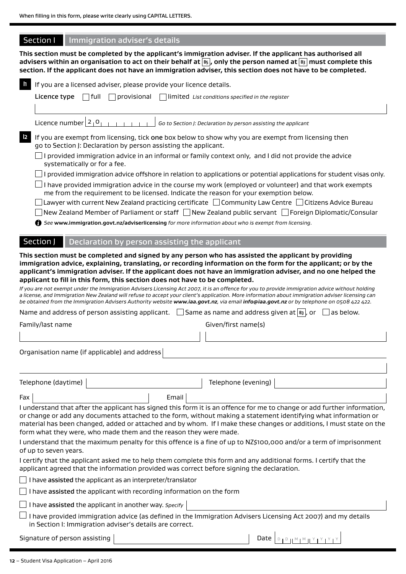### **Section I** Immigration adviser's details

**This section must be completed by the applicant's immigration adviser. If the applicant has authorised all advisers within an organisation to act on their behalf at B5 , only the person named at B3 must complete this section. If the applicant does not have an immigration adviser, this section does not have to be completed.**

| $\mathbf{h}$ | If you are a licensed adviser, please provide your licence details.                                                                                                                                                                                                                                                                                                                                                                                                                                                                                                                                                                                                                                                                                                                                                                                                                                                                |
|--------------|------------------------------------------------------------------------------------------------------------------------------------------------------------------------------------------------------------------------------------------------------------------------------------------------------------------------------------------------------------------------------------------------------------------------------------------------------------------------------------------------------------------------------------------------------------------------------------------------------------------------------------------------------------------------------------------------------------------------------------------------------------------------------------------------------------------------------------------------------------------------------------------------------------------------------------|
|              | l full<br>$\Box$ provisional<br>Licence type<br>limited List conditions specified in the register                                                                                                                                                                                                                                                                                                                                                                                                                                                                                                                                                                                                                                                                                                                                                                                                                                  |
|              | Licence number $2_1$ <sup>O</sup> <sub>1</sub><br>Go to Section J: Declaration by person assisting the applicant                                                                                                                                                                                                                                                                                                                                                                                                                                                                                                                                                                                                                                                                                                                                                                                                                   |
| $\vert$ 2    | If you are exempt from licensing, tick one box below to show why you are exempt from licensing then<br>go to Section J: Declaration by person assisting the applicant.<br>provided immigration advice in an informal or family context only, and I did not provide the advice<br>systematically or for a fee.<br>I provided immigration advice offshore in relation to applications or potential applications for student visas only.                                                                                                                                                                                                                                                                                                                                                                                                                                                                                              |
|              | I have provided immigration advice in the course my work (employed or volunteer) and that work exempts<br>me from the requirement to be licensed. Indicate the reason for your exemption below.<br>Lawyer with current New Zealand practicing certificate $\Box$ Community Law Centre $\Box$ Citizens Advice Bureau<br>New Zealand Member of Parliament or staff □ New Zealand public servant □ Foreign Diplomatic/Consular<br>See www.immigration.govt.nz/adviserlicensing for more information about who is exempt from licensing.                                                                                                                                                                                                                                                                                                                                                                                               |
|              | Section J<br>Declaration by person assisting the applicant                                                                                                                                                                                                                                                                                                                                                                                                                                                                                                                                                                                                                                                                                                                                                                                                                                                                         |
|              | immigration advice, explaining, translating, or recording information on the form for the applicant; or by the<br>applicant's immigration adviser. If the applicant does not have an immigration adviser, and no one helped the<br>applicant to fill in this form, this section does not have to be completed.<br>If you are not exempt under the Immigration Advisers Licensing Act 2007, it is an offence for you to provide immigration advice without holding<br>a license, and Immigration New Zealand will refuse to accept your client's application. More information about immigration adviser licensing can<br>be obtained from the Immigration Advisers Authority website www.iaa.govt.nz, via email info@iaa.govt.nz or by telephone on 0508 422 422.<br>Name and address of person assisting applicant. $\Box$ Same as name and address given at $ s_3 $ , or<br>as below.<br>Given/first name(s)<br>Family/last name |
|              |                                                                                                                                                                                                                                                                                                                                                                                                                                                                                                                                                                                                                                                                                                                                                                                                                                                                                                                                    |
|              | Organisation name (if applicable) and address                                                                                                                                                                                                                                                                                                                                                                                                                                                                                                                                                                                                                                                                                                                                                                                                                                                                                      |
|              | Telephone (daytime)<br>Telephone (evening)                                                                                                                                                                                                                                                                                                                                                                                                                                                                                                                                                                                                                                                                                                                                                                                                                                                                                         |
| Fax          | Email                                                                                                                                                                                                                                                                                                                                                                                                                                                                                                                                                                                                                                                                                                                                                                                                                                                                                                                              |
|              | I understand that after the applicant has signed this form it is an offence for me to change or add further information,<br>or change or add any documents attached to the form, without making a statement identifying what information or<br>material has been changed, added or attached and by whom. If I make these changes or additions, I must state on the<br>form what they were, who made them and the reason they were made.<br>I understand that the maximum penalty for this offence is a fine of up to NZ\$100,000 and/or a term of imprisonment<br>of up to seven years.                                                                                                                                                                                                                                                                                                                                            |
|              | I certify that the applicant asked me to help them complete this form and any additional forms. I certify that the<br>applicant agreed that the information provided was correct before signing the declaration.                                                                                                                                                                                                                                                                                                                                                                                                                                                                                                                                                                                                                                                                                                                   |
|              |                                                                                                                                                                                                                                                                                                                                                                                                                                                                                                                                                                                                                                                                                                                                                                                                                                                                                                                                    |
|              | I have assisted the applicant with recording information on the form                                                                                                                                                                                                                                                                                                                                                                                                                                                                                                                                                                                                                                                                                                                                                                                                                                                               |
|              | $\perp$ I have assisted the applicant in another way. Specify                                                                                                                                                                                                                                                                                                                                                                                                                                                                                                                                                                                                                                                                                                                                                                                                                                                                      |
|              | I have provided immigration advice (as defined in the Immigration Advisers Licensing Act 2007) and my details<br>in Section I: Immigration adviser's details are correct.                                                                                                                                                                                                                                                                                                                                                                                                                                                                                                                                                                                                                                                                                                                                                          |
|              | Date $D_{1}D_{11}M_{1}M_{11}Y_{1}Y_{1}Y$<br>Signature of person assisting                                                                                                                                                                                                                                                                                                                                                                                                                                                                                                                                                                                                                                                                                                                                                                                                                                                          |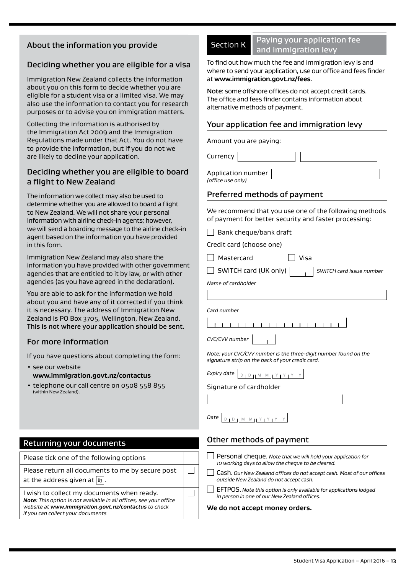### About the information you provide

### Deciding whether you are eligible for a visa

Immigration New Zealand collects the information about you on this form to decide whether you are eligible for a student visa or a limited visa. We may also use the information to contact you for research purposes or to advise you on immigration matters.

Collecting the information is authorised by the Immigration Act 2009 and the Immigration Regulations made under that Act. You do not have to provide the information, but if you do not we are likely to decline your application.

### Deciding whether you are eligible to board a flight to New Zealand

The information we collect may also be used to determine whether you are allowed to board a flight to New Zealand. We will not share your personal information with airline check-in agents; however, we will send a boarding message to the airline check-in agent based on the information you have provided in this form.

Immigration New Zealand may also share the information you have provided with other government agencies that are entitled to it by law, or with other agencies (as you have agreed in the declaration).

You are able to ask for the information we hold about you and have any of it corrected if you think it is necessary. The address of Immigration New Zealand is PO Box 3705, Wellington, New Zealand. This is not where your application should be sent.

### For more information

If you have questions about completing the form:

- see our website **<www.immigration.govt.nz/contactus>**
- telephone our call centre on 0508 558 855 (within New Zealand).

### Returning your documents

| Please tick one of the following options |  |
|------------------------------------------|--|

Please return all documents to me by secure post at the address given at  $\boxed{B_3}$ .

I wish to collect my documents when ready.

*Note: This option is not available in all offices, see your office website at<www.immigration.govt.nz/contactus> to check if you can collect your documents*

### Section K Paying your application fee and immigration levy

To find out how much the fee and immigration levy is and where to send your application, use our office and fees finder at **<www.immigration.govt.nz/fees>**.

Note: some offshore offices do not accept credit cards. The office and fees finder contains information about alternative methods of payment.

### Your application fee and immigration levy

Amount you are paying:

Application number

*(office use only)*

**Currency** 

### Preferred methods of payment

We recommend that you use one of the following methods of payment for better security and faster processing:

 $\Box$  Bank cheque/bank draft

Credit card (choose one)

Mastercard Visa

SWITCH card (UK only) *SWITCH card issue number*

*Name of cardholder*

*Card number*

 $\Box$ 

 $\Box$ 

*CVC/CVV number*

*Note: your CVC/CVV number is the three-digit number found on the signature strip on the back of your credit card.*

|--|--|--|--|--|--|--|--|--|--|--|--|--|--|--|

Signature of cardholder

#### *Date*  $D + D + M + M + Y + Y + Y$

### Other methods of payment

- Personal cheque. *Note that we will hold your application for 10 working days to allow the cheque to be cleared.*
- Cash. *Our New Zealand offices do not accept cash. Most of our offices outside New Zealand do not accept cash.*
- EFTPOS. *Note this option is only available for applications lodged in person in one of our New Zealand offices.*

#### **We do not accept money orders.**